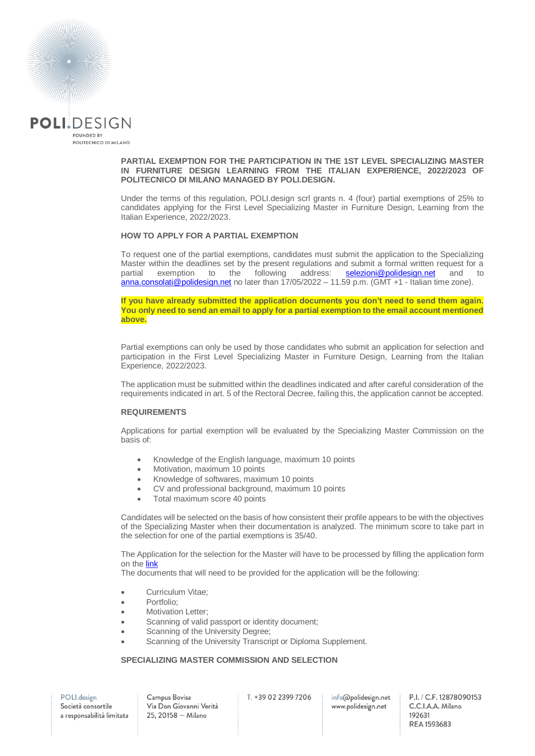

### **PARTIAL EXEMPTION FOR THE PARTICIPATION IN THE 1ST LEVEL SPECIALIZING MASTER IN FURNITURE DESIGN LEARNING FROM THE ITALIAN EXPERIENCE, 2022/2023 OF POLITECNICO DI MILANO MANAGED BY POLI.DESIGN.**

Under the terms of this regulation, POLI.design scrl grants n. 4 (four) partial exemptions of 25% to candidates applying for the First Level Specializing Master in Furniture Design, Learning from the Italian Experience, 2022/2023.

#### **HOW TO APPLY FOR A PARTIAL EXEMPTION**

To request one of the partial exemptions, candidates must submit the application to the Specializing Master within the deadlines set by the present regulations and submit a formal written request for a partial exemption to the following address: **selezioni@polidesian.net** and to exemption to the following address: [selezioni@polidesign.net](mailto:selezioni@polidesign.net) and to [anna.consolati@polidesign.net](mailto:anna.consolati@polidesign.net) no later than 17/05/2022 – 11.59 p.m. (GMT +1 - Italian time zone).

**If you have already submitted the application documents you don't need to send them again. You only need to send an email to apply for a partial exemption to the email account mentioned above.**

Partial exemptions can only be used by those candidates who submit an application for selection and participation in the First Level Specializing Master in Furniture Design, Learning from the Italian Experience, 2022/2023.

The application must be submitted within the deadlines indicated and after careful consideration of the requirements indicated in art. 5 of the Rectoral Decree, failing this, the application cannot be accepted.

### **REQUIREMENTS**

Applications for partial exemption will be evaluated by the Specializing Master Commission on the basis of:

- Knowledge of the English language, maximum 10 points
- Motivation, maximum 10 points
- Knowledge of softwares, maximum 10 points
- CV and professional background, maximum 10 points
- Total maximum score 40 points

Candidates will be selected on the basis of how consistent their profile appears to be with the objectives of the Specializing Master when their documentation is analyzed. The minimum score to take part in the selection for one of the partial exemptions is 35/40.

The Application for the selection for the Master will have to be processed by filling the application form on the [link](https://www.polidesign.net/en/member-login/?candidatura&redirect_to=https://www.polidesign.net/en/candidatura/?courseID=POLID_5fd3c7d02322c)

The documents that will need to be provided for the application will be the following:

- Curriculum Vitae;
- Portfolio:
- Motivation Letter;
- Scanning of valid passport or identity document;
- Scanning of the University Degree;
- Scanning of the University Transcript or Diploma Supplement.

# **SPECIALIZING MASTER COMMISSION AND SELECTION**

POLI.design Società consortile a responsabilità limitata Campus Bovisa Via Don Giovanni Verità  $25.20158 -$ Milano

T. +39 02 2399 7206

info@polidesign.net www.polidesign.net

P.I. / C.F. 12878090153 C.C.I.A.A. Milano 192631 REA 1593683